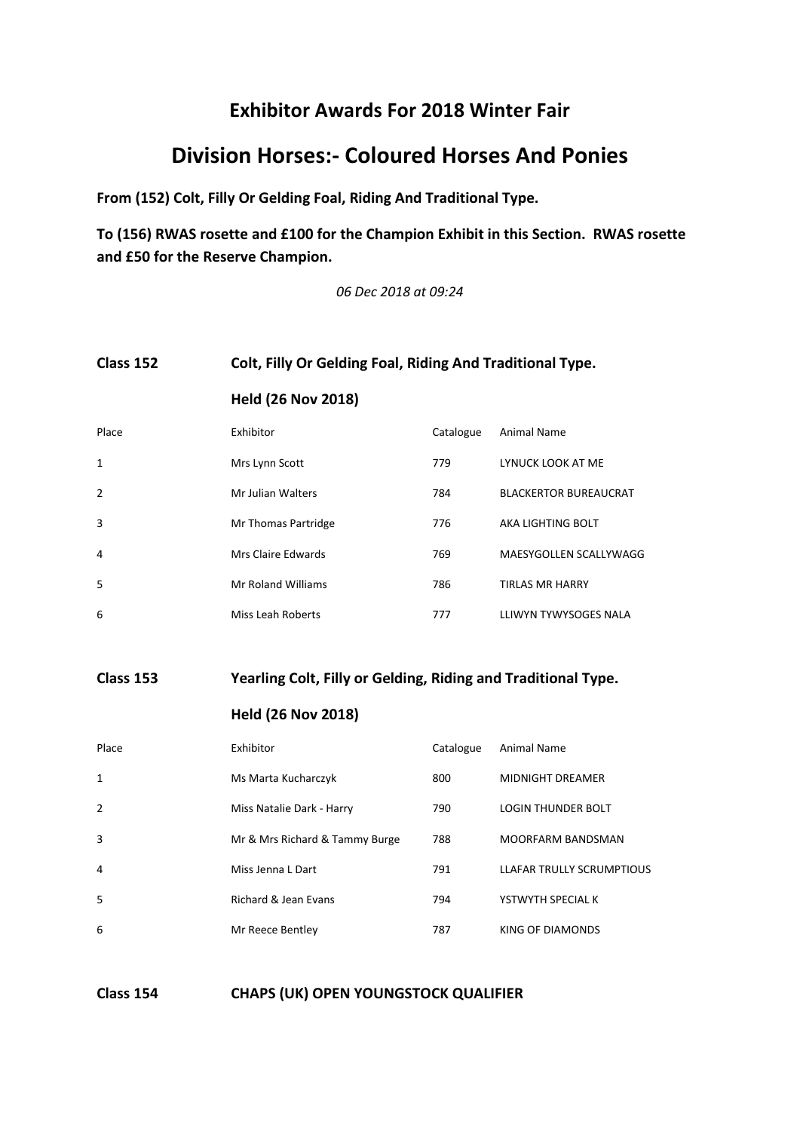# **Division Horses:- Coloured Horses And Ponies**

**From (152) Colt, Filly Or Gelding Foal, Riding And Traditional Type.**

**To (156) RWAS rosette and £100 for the Champion Exhibit in this Section. RWAS rosette and £50 for the Reserve Champion.**

*06 Dec 2018 at 09:24*

#### **Class 152 Colt, Filly Or Gelding Foal, Riding And Traditional Type.**

|       | <b>Held (26 Nov 2018)</b> |  |                       |  |
|-------|---------------------------|--|-----------------------|--|
| Place | <b>Exhibitor</b>          |  | Catalogue Animal Name |  |

| <b>PidCE</b>   | <b>EXHIDILOI</b>    | Catalogue | Allillidi Natile             |
|----------------|---------------------|-----------|------------------------------|
| 1              | Mrs Lynn Scott      | 779       | LYNUCK LOOK AT ME            |
| $\overline{2}$ | Mr Julian Walters   | 784       | <b>BLACKERTOR BUREAUCRAT</b> |
| 3              | Mr Thomas Partridge | 776       | AKA LIGHTING BOLT            |
| 4              | Mrs Claire Edwards  | 769       | MAESYGOLLEN SCALLYWAGG       |
| -5             | Mr Roland Williams  | 786       | <b>TIRLAS MR HARRY</b>       |
| 6              | Miss Leah Roberts   | 777       | LLIWYN TYWYSOGES NALA        |

**Class 153 Yearling Colt, Filly or Gelding, Riding and Traditional Type.**

**Held (26 Nov 2018)**

| Place          | Exhibitor                      | Catalogue | Animal Name               |
|----------------|--------------------------------|-----------|---------------------------|
| 1              | Ms Marta Kucharczyk            | 800       | <b>MIDNIGHT DREAMER</b>   |
| $\overline{2}$ | Miss Natalie Dark - Harry      | 790       | <b>LOGIN THUNDER BOLT</b> |
| 3              | Mr & Mrs Richard & Tammy Burge | 788       | <b>MOORFARM BANDSMAN</b>  |
| 4              | Miss Jenna L Dart              | 791       | LLAFAR TRULLY SCRUMPTIOUS |
| 5              | Richard & Jean Evans           | 794       | YSTWYTH SPECIAL K         |
| 6              | Mr Reece Bentley               | 787       | KING OF DIAMONDS          |

**Class 154 CHAPS (UK) OPEN YOUNGSTOCK QUALIFIER**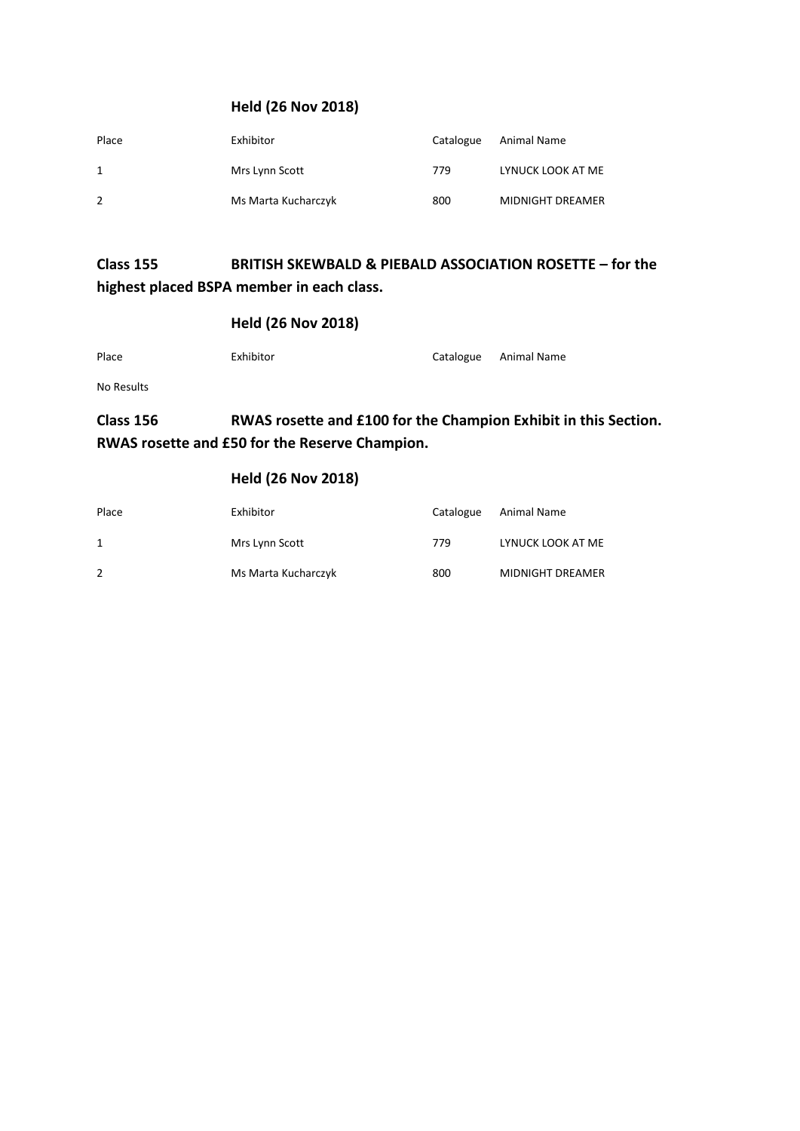### **Held (26 Nov 2018)**

| Place | Exhibitor           | Catalogue | Animal Name       |
|-------|---------------------|-----------|-------------------|
| 1     | Mrs Lynn Scott      | 779       | LYNUCK LOOK AT ME |
| 2     | Ms Marta Kucharczyk | 800       | MIDNIGHT DREAMER  |

### **Class 155 BRITISH SKEWBALD & PIEBALD ASSOCIATION ROSETTE – for the highest placed BSPA member in each class.**

#### **Held (26 Nov 2018)**

| Place      | Exhibitor | Catalogue Animal Name |
|------------|-----------|-----------------------|
| No Results |           |                       |

# **Class 156 RWAS rosette and £100 for the Champion Exhibit in this Section. RWAS rosette and £50 for the Reserve Champion.**

| Place | Exhibitor           | Catalogue | Animal Name             |
|-------|---------------------|-----------|-------------------------|
| 1     | Mrs Lynn Scott      | 779       | LYNUCK LOOK AT ME       |
|       | Ms Marta Kucharczyk | 800       | <b>MIDNIGHT DREAMER</b> |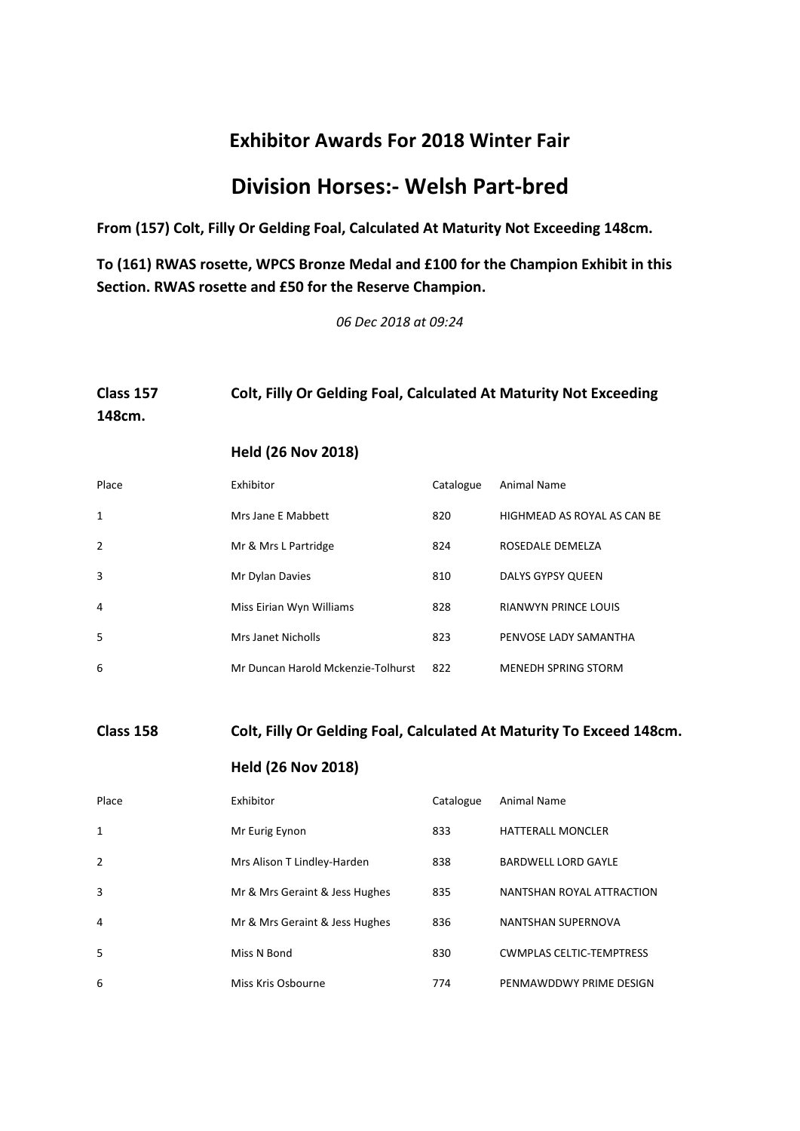# **Division Horses:- Welsh Part-bred**

**From (157) Colt, Filly Or Gelding Foal, Calculated At Maturity Not Exceeding 148cm.**

**To (161) RWAS rosette, WPCS Bronze Medal and £100 for the Champion Exhibit in this Section. RWAS rosette and £50 for the Reserve Champion.**

*06 Dec 2018 at 09:24*

# **Class 157 Colt, Filly Or Gelding Foal, Calculated At Maturity Not Exceeding 148cm. Held (26 Nov 2018)**

| Place | Exhibitor                          | Catalogue | Animal Name                 |
|-------|------------------------------------|-----------|-----------------------------|
| 1     | Mrs Jane E Mabbett                 | 820       | HIGHMEAD AS ROYAL AS CAN BE |
| 2     | Mr & Mrs L Partridge               | 824       | ROSEDALE DEMELZA            |
| 3     | Mr Dylan Davies                    | 810       | DALYS GYPSY QUEEN           |
| 4     | Miss Eirian Wyn Williams           | 828       | <b>RIANWYN PRINCE LOUIS</b> |
| 5     | Mrs Janet Nicholls                 | 823       | PENVOSE LADY SAMANTHA       |
| 6     | Mr Duncan Harold Mckenzie-Tolhurst | 822       | <b>MENEDH SPRING STORM</b>  |

## **Class 158 Colt, Filly Or Gelding Foal, Calculated At Maturity To Exceed 148cm.**

| Place          | Exhibitor                      | Catalogue | Animal Name                     |
|----------------|--------------------------------|-----------|---------------------------------|
| 1              | Mr Eurig Eynon                 | 833       | <b>HATTERALL MONCLER</b>        |
| $\overline{2}$ | Mrs Alison T Lindley-Harden    | 838       | <b>BARDWELL LORD GAYLE</b>      |
| 3              | Mr & Mrs Geraint & Jess Hughes | 835       | NANTSHAN ROYAL ATTRACTION       |
| 4              | Mr & Mrs Geraint & Jess Hughes | 836       | NANTSHAN SUPERNOVA              |
| 5              | Miss N Bond                    | 830       | <b>CWMPLAS CELTIC-TEMPTRESS</b> |
| 6              | Miss Kris Osbourne             | 774       | PENMAWDDWY PRIME DESIGN         |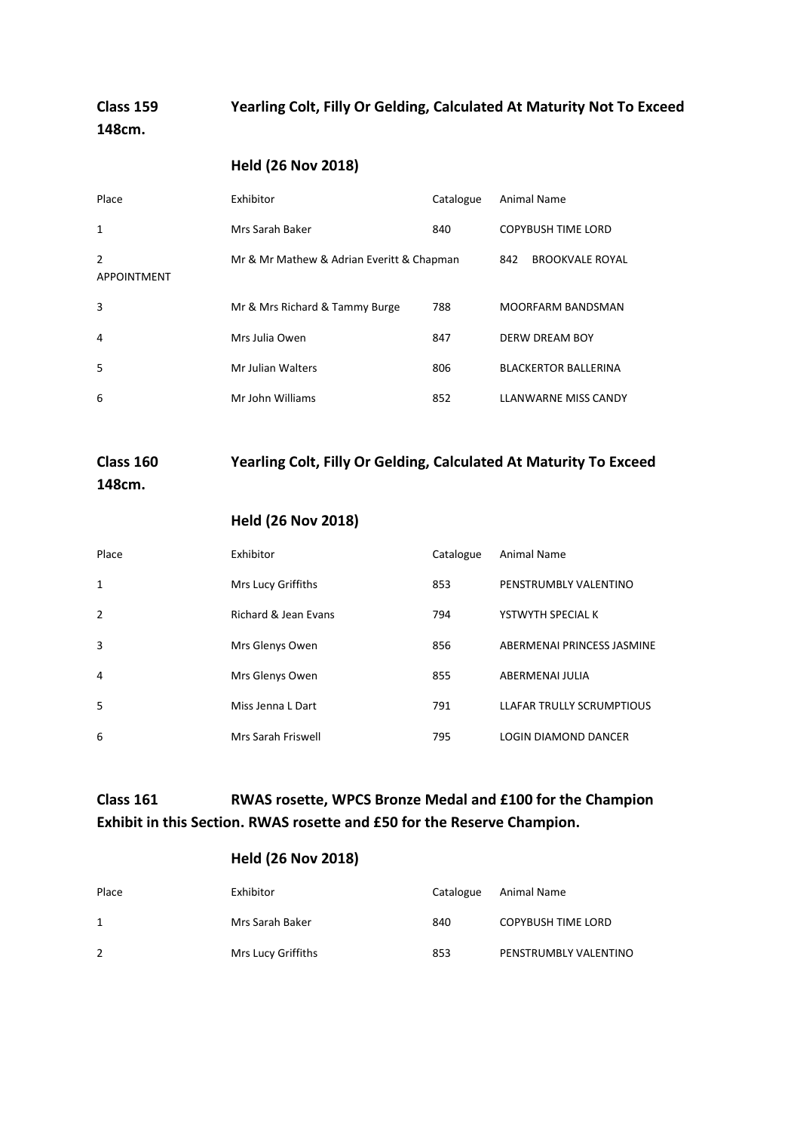### **Class 159 Yearling Colt, Filly Or Gelding, Calculated At Maturity Not To Exceed 148cm.**

#### **Held (26 Nov 2018)**

| Place                   | Exhibitor                                 | Catalogue | Animal Name                   |
|-------------------------|-------------------------------------------|-----------|-------------------------------|
| $\mathbf{1}$            | Mrs Sarah Baker                           | 840       | <b>COPYBUSH TIME LORD</b>     |
| 2<br><b>APPOINTMENT</b> | Mr & Mr Mathew & Adrian Everitt & Chapman |           | <b>BROOKVALE ROYAL</b><br>842 |
| 3                       | Mr & Mrs Richard & Tammy Burge            | 788       | <b>MOORFARM BANDSMAN</b>      |
| 4                       | Mrs Julia Owen                            | 847       | <b>DERW DREAM BOY</b>         |
| 5                       | Mr Julian Walters                         | 806       | <b>BLACKERTOR BALLERINA</b>   |
| 6                       | Mr John Williams                          | 852       | <b>LLANWARNE MISS CANDY</b>   |

## **Class 160 Yearling Colt, Filly Or Gelding, Calculated At Maturity To Exceed 148cm.**

#### **Held (26 Nov 2018)**

| Place          | Exhibitor            | Catalogue | Animal Name                 |
|----------------|----------------------|-----------|-----------------------------|
| 1              | Mrs Lucy Griffiths   | 853       | PENSTRUMBLY VALENTINO       |
| $\overline{2}$ | Richard & Jean Evans | 794       | YSTWYTH SPECIAL K           |
| 3              | Mrs Glenys Owen      | 856       | ABERMENAI PRINCESS JASMINE  |
| 4              | Mrs Glenys Owen      | 855       | ABERMENAI JULIA             |
| -5             | Miss Jenna L Dart    | 791       | LLAFAR TRULLY SCRUMPTIOUS   |
| 6              | Mrs Sarah Friswell   | 795       | <b>LOGIN DIAMOND DANCER</b> |

### **Class 161 RWAS rosette, WPCS Bronze Medal and £100 for the Champion Exhibit in this Section. RWAS rosette and £50 for the Reserve Champion.**

| Place | Exhibitor          | Catalogue | Animal Name               |
|-------|--------------------|-----------|---------------------------|
| 1     | Mrs Sarah Baker    | 840       | <b>COPYBUSH TIME LORD</b> |
| 2     | Mrs Lucy Griffiths | 853       | PENSTRUMBLY VALENTINO     |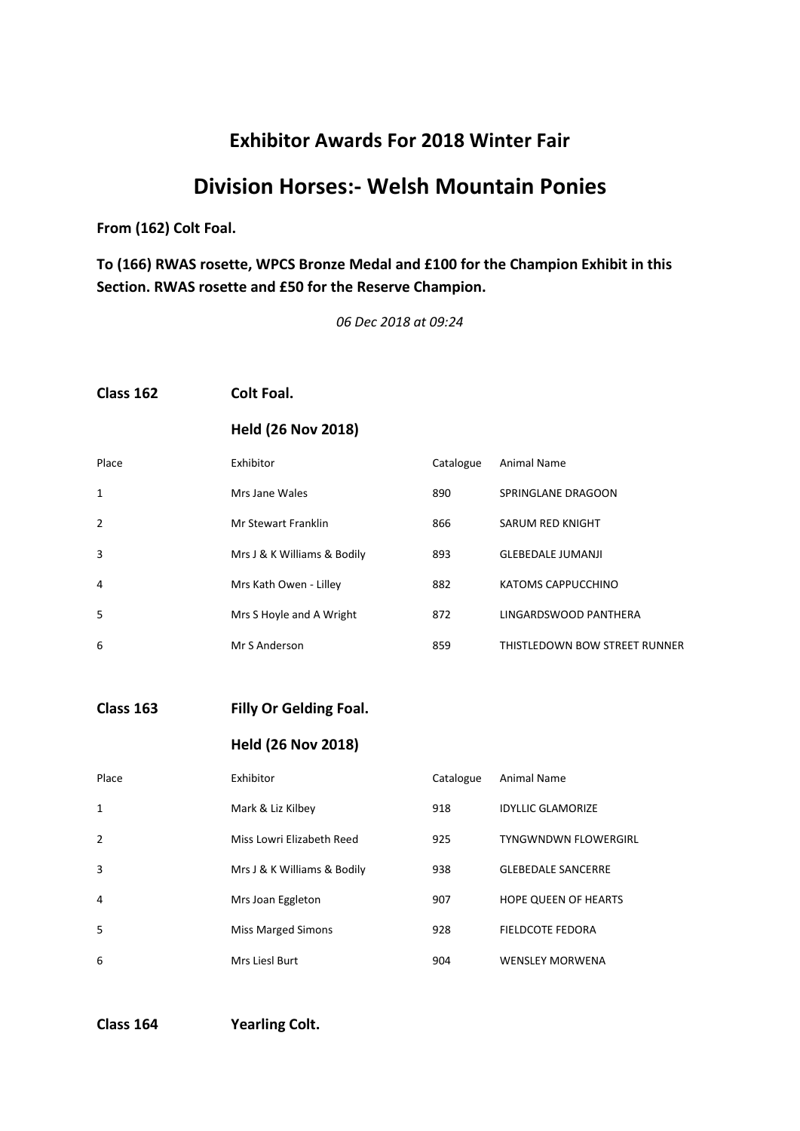# **Division Horses:- Welsh Mountain Ponies**

**From (162) Colt Foal.**

**To (166) RWAS rosette, WPCS Bronze Medal and £100 for the Champion Exhibit in this Section. RWAS rosette and £50 for the Reserve Champion.**

*06 Dec 2018 at 09:24*

#### **Class 162 Colt Foal.**

#### **Held (26 Nov 2018)**

| Place          | Exhibitor                   | Catalogue | Animal Name                   |
|----------------|-----------------------------|-----------|-------------------------------|
| 1              | Mrs Jane Wales              | 890       | SPRINGLANE DRAGOON            |
| $\overline{2}$ | Mr Stewart Franklin         | 866       | SARUM RED KNIGHT              |
| 3              | Mrs J & K Williams & Bodily | 893       | <b>GLEBEDALE JUMANJI</b>      |
| 4              | Mrs Kath Owen - Lilley      | 882       | KATOMS CAPPUCCHINO            |
| 5              | Mrs S Hoyle and A Wright    | 872       | LINGARDSWOOD PANTHERA         |
| 6              | Mr S Anderson               | 859       | THISTLEDOWN BOW STREET RUNNER |

#### **Class 163 Filly Or Gelding Foal.**

| Place          | Exhibitor                   | Catalogue | Animal Name                 |
|----------------|-----------------------------|-----------|-----------------------------|
| $\mathbf{1}$   | Mark & Liz Kilbey           | 918       | <b>IDYLLIC GLAMORIZE</b>    |
| $\overline{2}$ | Miss Lowri Elizabeth Reed   | 925       | <b>TYNGWNDWN FLOWERGIRL</b> |
| 3              | Mrs J & K Williams & Bodily | 938       | <b>GLEBEDALE SANCERRE</b>   |
| 4              | Mrs Joan Eggleton           | 907       | <b>HOPE QUEEN OF HEARTS</b> |
| 5              | <b>Miss Marged Simons</b>   | 928       | FIELDCOTE FEDORA            |
| 6              | Mrs Liesl Burt              | 904       | <b>WENSLEY MORWENA</b>      |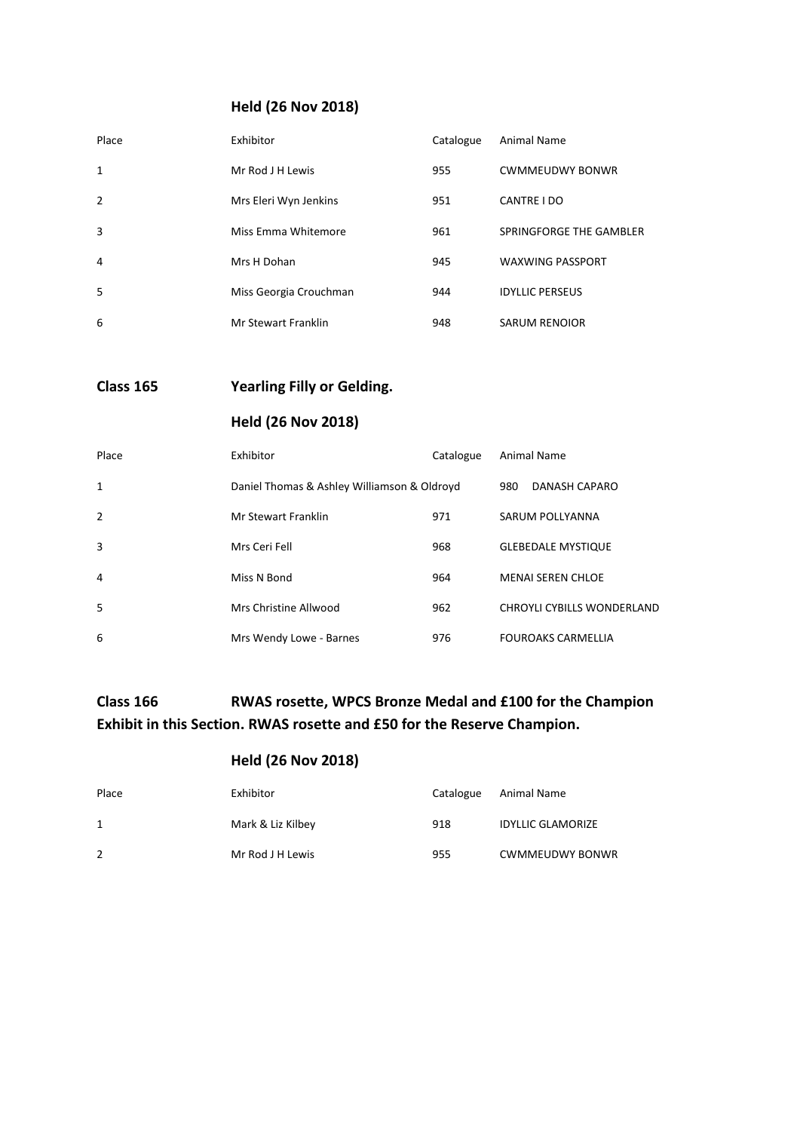### **Held (26 Nov 2018)**

| Place          | Exhibitor              | Catalogue | Animal Name             |
|----------------|------------------------|-----------|-------------------------|
| 1              | Mr Rod J H Lewis       | 955       | <b>CWMMEUDWY BONWR</b>  |
| $\overline{2}$ | Mrs Eleri Wyn Jenkins  | 951       | CANTRE I DO             |
| 3              | Miss Emma Whitemore    | 961       | SPRINGFORGE THE GAMBLER |
| 4              | Mrs H Dohan            | 945       | <b>WAXWING PASSPORT</b> |
| 5              | Miss Georgia Crouchman | 944       | <b>IDYLLIC PERSEUS</b>  |
| 6              | Mr Stewart Franklin    | 948       | <b>SARUM RENOIOR</b>    |

**Class 165 Yearling Filly or Gelding.**

### **Held (26 Nov 2018)**

| Place          | Exhibitor                                   | Catalogue | Animal Name                       |
|----------------|---------------------------------------------|-----------|-----------------------------------|
| $\mathbf{1}$   | Daniel Thomas & Ashley Williamson & Oldroyd |           | 980<br>DANASH CAPARO              |
| $\overline{2}$ | Mr Stewart Franklin                         | 971       | SARUM POLLYANNA                   |
| 3              | Mrs Ceri Fell                               | 968       | <b>GLEBEDALE MYSTIQUE</b>         |
| 4              | Miss N Bond                                 | 964       | <b>MENAI SEREN CHLOE</b>          |
| 5              | Mrs Christine Allwood                       | 962       | <b>CHROYLI CYBILLS WONDERLAND</b> |
| 6              | Mrs Wendy Lowe - Barnes                     | 976       | <b>FOUROAKS CARMELLIA</b>         |

## **Class 166 RWAS rosette, WPCS Bronze Medal and £100 for the Champion Exhibit in this Section. RWAS rosette and £50 for the Reserve Champion.**

| Place        | Exhibitor         | Catalogue | Animal Name              |
|--------------|-------------------|-----------|--------------------------|
| $\mathbf{1}$ | Mark & Liz Kilbey | 918       | <b>IDYLLIC GLAMORIZE</b> |
|              | Mr Rod J H Lewis  | 955       | <b>CWMMEUDWY BONWR</b>   |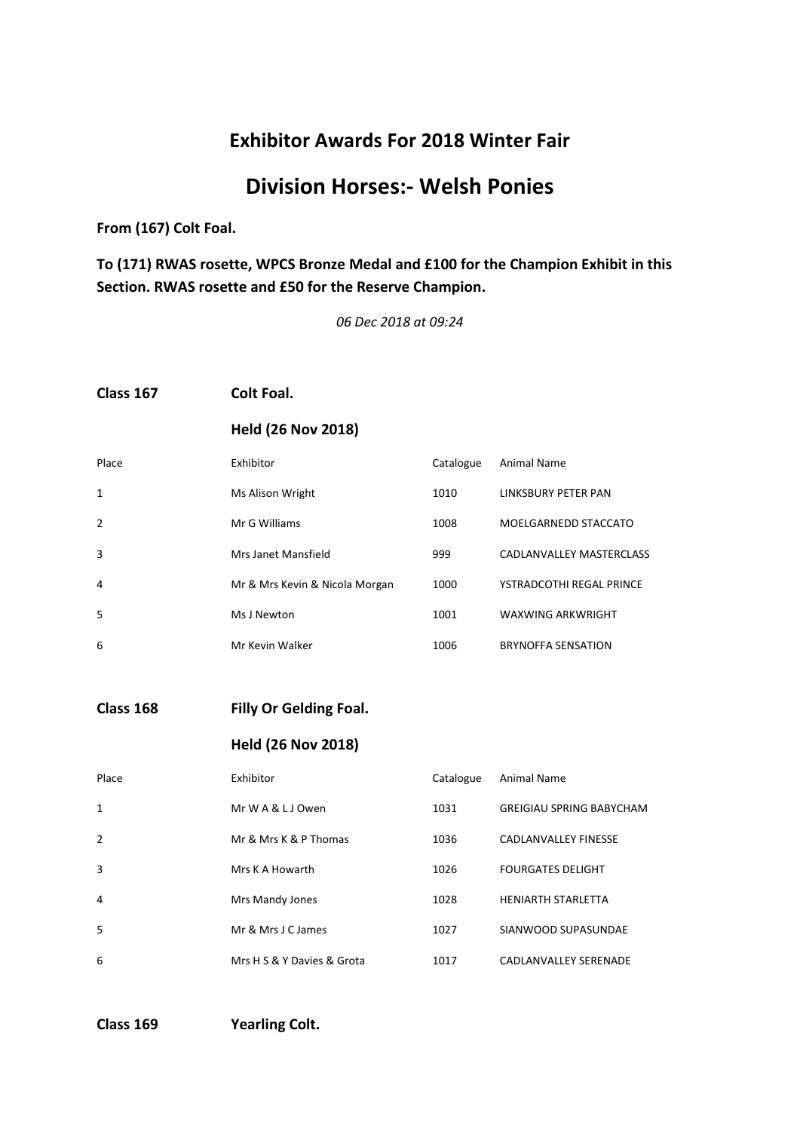# **Division Horses:- Welsh Ponies**

**From (167) Colt Foal.**

**To (171) RWAS rosette, WPCS Bronze Medal and £100 for the Champion Exhibit in this Section. RWAS rosette and £50 for the Reserve Champion.**

*06 Dec 2018 at 09:24*

#### **Class 167 Colt Foal.**

#### **Held (26 Nov 2018)**

| Place          | Exhibitor                      | Catalogue | Animal Name               |
|----------------|--------------------------------|-----------|---------------------------|
| 1              | Ms Alison Wright               | 1010      | LINKSBURY PETER PAN       |
| $\overline{2}$ | Mr G Williams                  | 1008      | MOELGARNEDD STACCATO      |
| 3              | Mrs Janet Mansfield            | 999       | CADLANVALLEY MASTERCLASS  |
| 4              | Mr & Mrs Kevin & Nicola Morgan | 1000      | YSTRADCOTHI REGAL PRINCE  |
| 5              | Ms J Newton                    | 1001      | <b>WAXWING ARKWRIGHT</b>  |
| 6              | Mr Kevin Walker                | 1006      | <b>BRYNOFFA SENSATION</b> |

**Class 168 Filly Or Gelding Foal.**

#### **Held (26 Nov 2018)**

| Place          | Exhibitor                  | Catalogue | Animal Name                     |
|----------------|----------------------------|-----------|---------------------------------|
| $\mathbf{1}$   | Mr W A & L J Owen          | 1031      | <b>GREIGIAU SPRING BABYCHAM</b> |
| $\overline{2}$ | Mr & Mrs K & P Thomas      | 1036      | CADLANVALLEY FINESSE            |
| 3              | Mrs K A Howarth            | 1026      | <b>FOURGATES DELIGHT</b>        |
| 4              | Mrs Mandy Jones            | 1028      | <b>HENIARTH STARLETTA</b>       |
| 5              | Mr & Mrs J C James         | 1027      | SIANWOOD SUPASUNDAE             |
| 6              | Mrs H S & Y Davies & Grota | 1017      | CADLANVALLEY SERENADE           |

**Class 169 Yearling Colt.**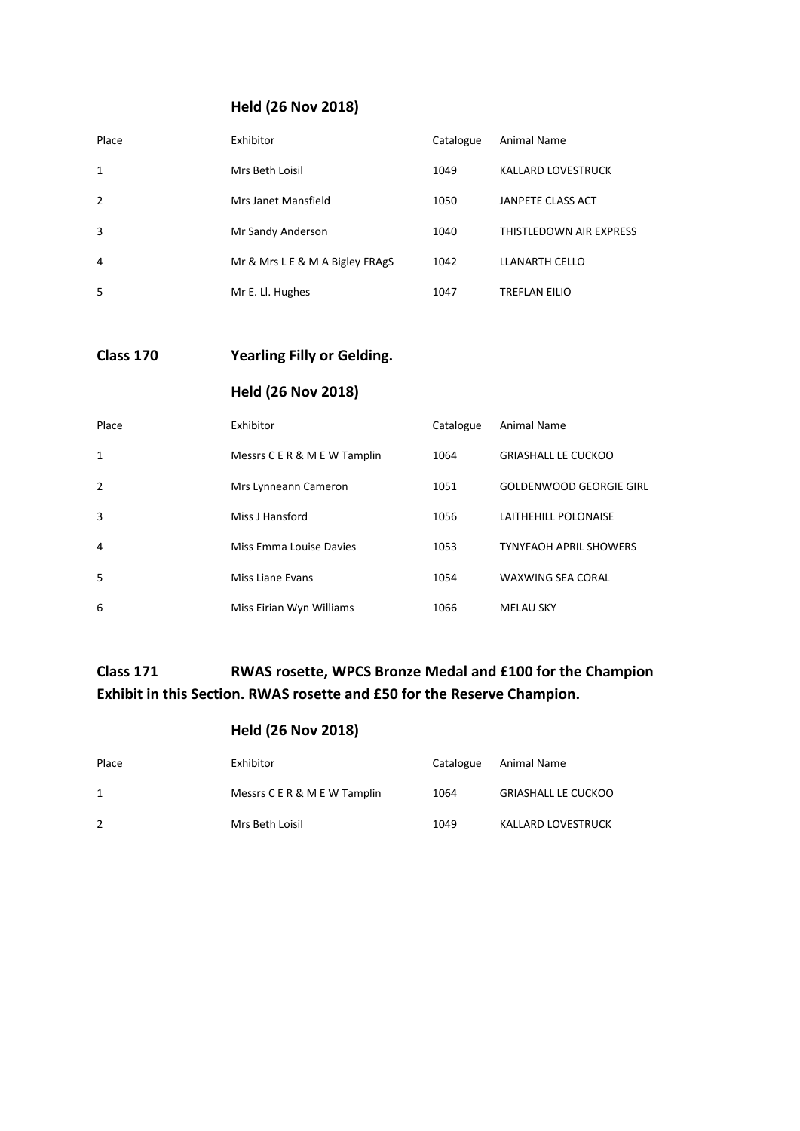### **Held (26 Nov 2018)**

| Place | Exhibitor                       | Catalogue | Animal Name               |
|-------|---------------------------------|-----------|---------------------------|
| 1     | Mrs Beth Loisil                 | 1049      | <b>KALLARD LOVESTRUCK</b> |
| 2     | Mrs Janet Mansfield             | 1050      | JANPETE CLASS ACT         |
| 3     | Mr Sandy Anderson               | 1040      | THISTLEDOWN AIR EXPRESS   |
| 4     | Mr & Mrs L E & M A Bigley FRAgS | 1042      | LLANARTH CELLO            |
| 5     | Mr E. Ll. Hughes                | 1047      | <b>TREFLAN EILIO</b>      |

### **Class 170 Yearling Filly or Gelding.**

### **Held (26 Nov 2018)**

| Place          | Exhibitor                    | Catalogue | Animal Name                    |
|----------------|------------------------------|-----------|--------------------------------|
| 1              | Messrs C E R & M E W Tamplin | 1064      | <b>GRIASHALL LE CUCKOO</b>     |
| $\overline{2}$ | Mrs Lynneann Cameron         | 1051      | <b>GOLDENWOOD GEORGIE GIRL</b> |
| 3              | Miss J Hansford              | 1056      | LAITHEHILL POLONAISE           |
| 4              | Miss Emma Louise Davies      | 1053      | <b>TYNYFAOH APRIL SHOWERS</b>  |
| 5              | Miss Liane Evans             | 1054      | <b>WAXWING SEA CORAL</b>       |
| 6              | Miss Eirian Wyn Williams     | 1066      | <b>MELAU SKY</b>               |

## **Class 171 RWAS rosette, WPCS Bronze Medal and £100 for the Champion Exhibit in this Section. RWAS rosette and £50 for the Reserve Champion.**

| Place | Exhibitor                    | Catalogue | Animal Name                |
|-------|------------------------------|-----------|----------------------------|
|       | Messrs C E R & M E W Tamplin | 1064      | <b>GRIASHALL LE CUCKOO</b> |
| 2     | Mrs Beth Loisil              | 1049      | KALLARD LOVESTRUCK         |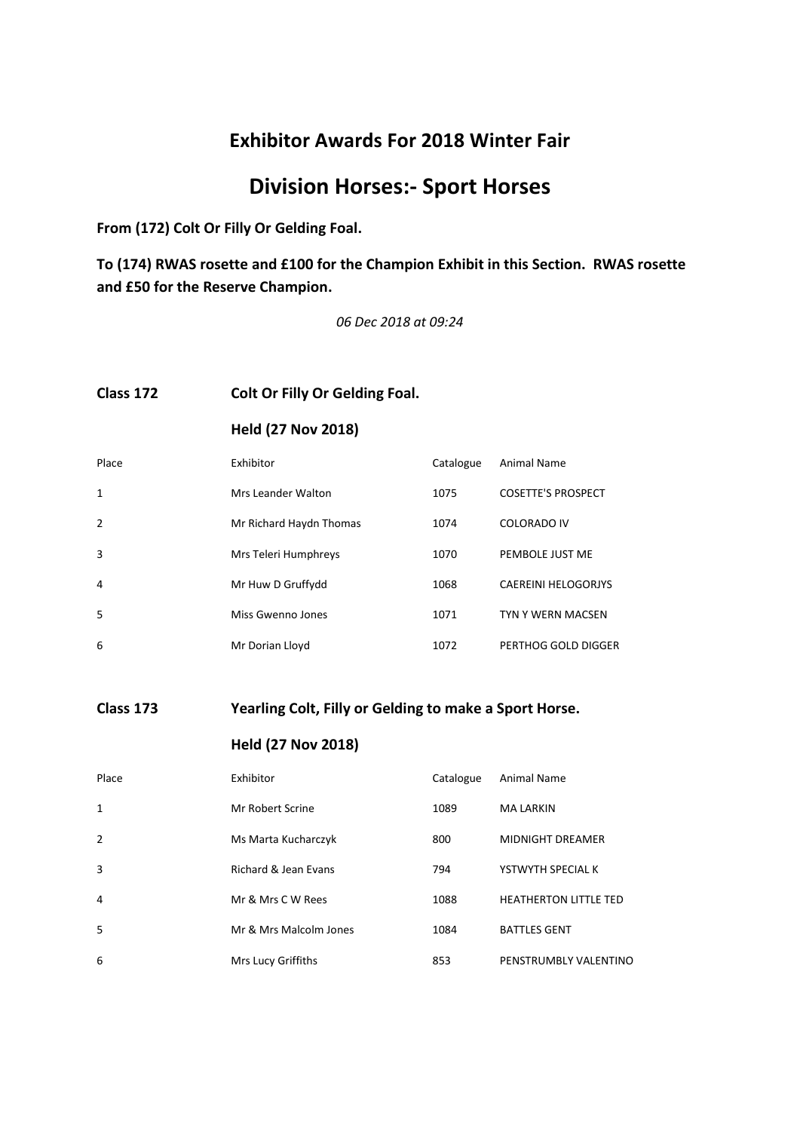# **Division Horses:- Sport Horses**

**From (172) Colt Or Filly Or Gelding Foal.**

**To (174) RWAS rosette and £100 for the Champion Exhibit in this Section. RWAS rosette and £50 for the Reserve Champion.**

*06 Dec 2018 at 09:24*

#### **Class 172 Colt Or Filly Or Gelding Foal.**

**Held (27 Nov 2018)**

| Place          | Exhibitor               | Catalogue | Animal Name                |
|----------------|-------------------------|-----------|----------------------------|
| 1              | Mrs Leander Walton      | 1075      | <b>COSETTE'S PROSPECT</b>  |
| $\overline{2}$ | Mr Richard Haydn Thomas | 1074      | <b>COLORADO IV</b>         |
| 3              | Mrs Teleri Humphreys    | 1070      | PEMBOLE JUST ME            |
| 4              | Mr Huw D Gruffydd       | 1068      | <b>CAEREINI HELOGORJYS</b> |
| 5              | Miss Gwenno Jones       | 1071      | TYN Y WERN MACSEN          |
| 6              | Mr Dorian Lloyd         | 1072      | PERTHOG GOLD DIGGER        |

#### **Class 173 Yearling Colt, Filly or Gelding to make a Sport Horse.**

| Place         | Exhibitor              | Catalogue | Animal Name                  |
|---------------|------------------------|-----------|------------------------------|
| $\mathbf{1}$  | Mr Robert Scrine       | 1089      | <b>MA LARKIN</b>             |
| $\mathcal{P}$ | Ms Marta Kucharczyk    | 800       | <b>MIDNIGHT DREAMER</b>      |
| 3             | Richard & Jean Evans   | 794       | YSTWYTH SPECIAL K            |
| 4             | Mr & Mrs C W Rees      | 1088      | <b>HEATHERTON LITTLE TED</b> |
| 5             | Mr & Mrs Malcolm Jones | 1084      | <b>BATTLES GENT</b>          |
| 6             | Mrs Lucy Griffiths     | 853       | PENSTRUMBLY VALENTINO        |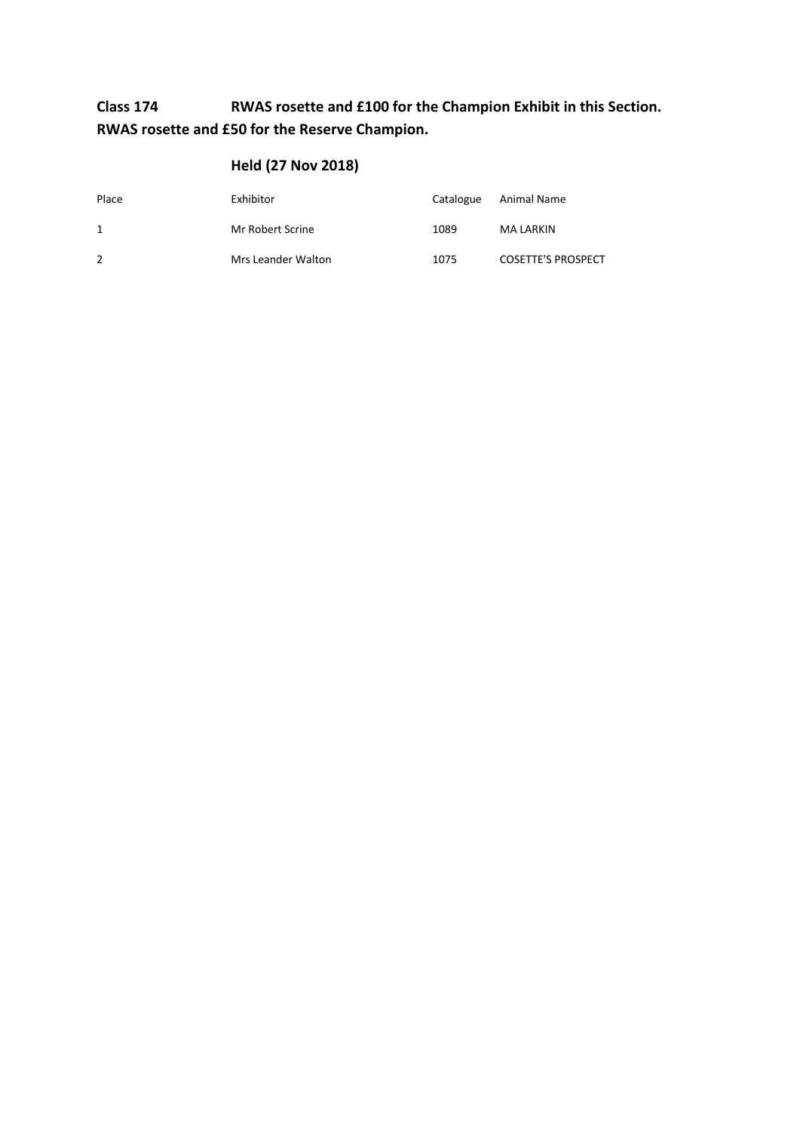## **Class 174 RWAS rosette and £100 for the Champion Exhibit in this Section. RWAS rosette and £50 for the Reserve Champion.**

| Place | Exhibitor          | Catalogue | Animal Name               |
|-------|--------------------|-----------|---------------------------|
| 1     | Mr Robert Scrine   | 1089      | MA LARKIN                 |
| 2     | Mrs Leander Walton | 1075      | <b>COSETTE'S PROSPECT</b> |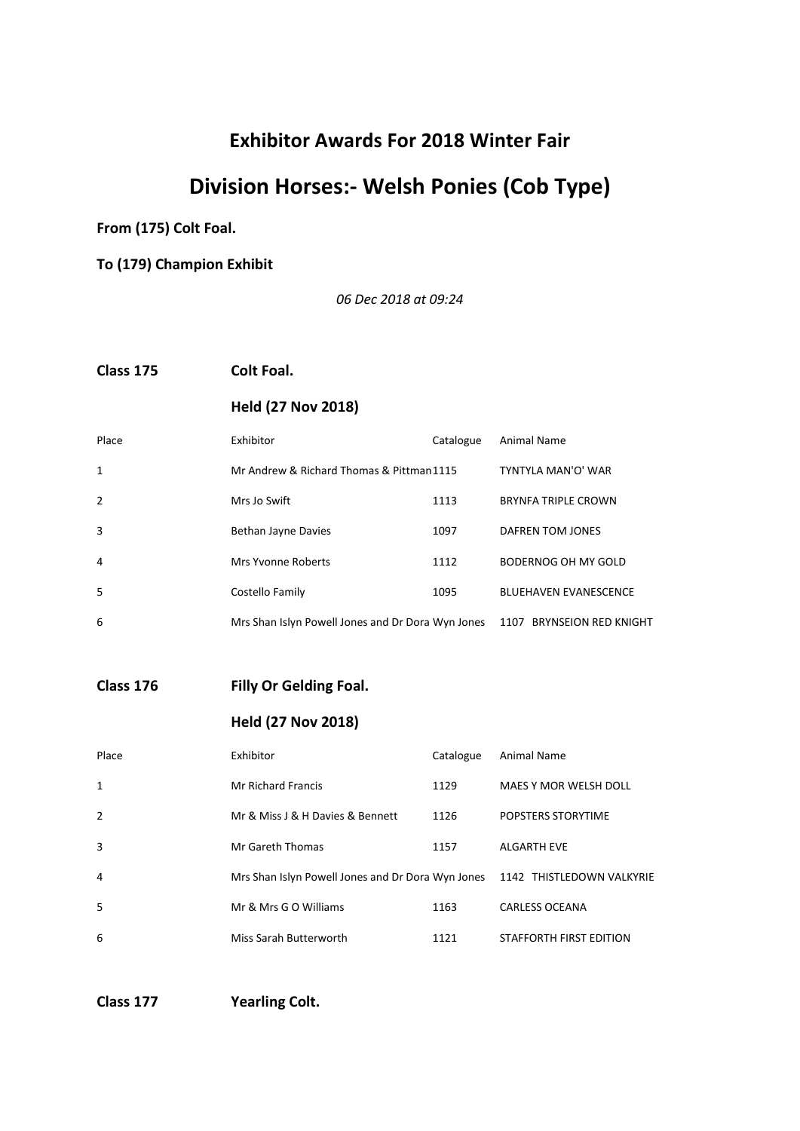# **Division Horses:- Welsh Ponies (Cob Type)**

**From (175) Colt Foal.**

**To (179) Champion Exhibit**

*06 Dec 2018 at 09:24*

**Class 175 Colt Foal.**

### **Held (27 Nov 2018)**

| Place        | Exhibitor                                         | Catalogue | Animal Name                  |
|--------------|---------------------------------------------------|-----------|------------------------------|
| $\mathbf{1}$ | Mr Andrew & Richard Thomas & Pittman1115          |           | TYNTYLA MAN'O' WAR           |
| 2            | Mrs Jo Swift                                      | 1113      | <b>BRYNFA TRIPLE CROWN</b>   |
| 3            | Bethan Jayne Davies                               | 1097      | DAFREN TOM JONES             |
| 4            | Mrs Yvonne Roberts                                | 1112      | BODERNOG OH MY GOLD          |
| -5           | Costello Family                                   | 1095      | <b>BLUEHAVEN EVANESCENCE</b> |
| 6            | Mrs Shan Islyn Powell Jones and Dr Dora Wyn Jones |           | 1107 BRYNSEION RED KNIGHT    |

**Class 176 Filly Or Gelding Foal.**

**Held (27 Nov 2018)**

| Place | Exhibitor                                         | Catalogue | Animal Name               |
|-------|---------------------------------------------------|-----------|---------------------------|
| 1     | <b>Mr Richard Francis</b>                         | 1129      | MAES Y MOR WELSH DOLL     |
| 2     | Mr & Miss J & H Davies & Bennett                  | 1126      | POPSTERS STORYTIME        |
| 3     | Mr Gareth Thomas                                  | 1157      | <b>ALGARTH EVE</b>        |
| 4     | Mrs Shan Islyn Powell Jones and Dr Dora Wyn Jones |           | 1142 THISTLEDOWN VALKYRIE |
| .5    | Mr & Mrs G O Williams                             | 1163      | <b>CARLESS OCEANA</b>     |
| 6     | Miss Sarah Butterworth                            | 1121      | STAFFORTH FIRST EDITION   |

**Class 177 Yearling Colt.**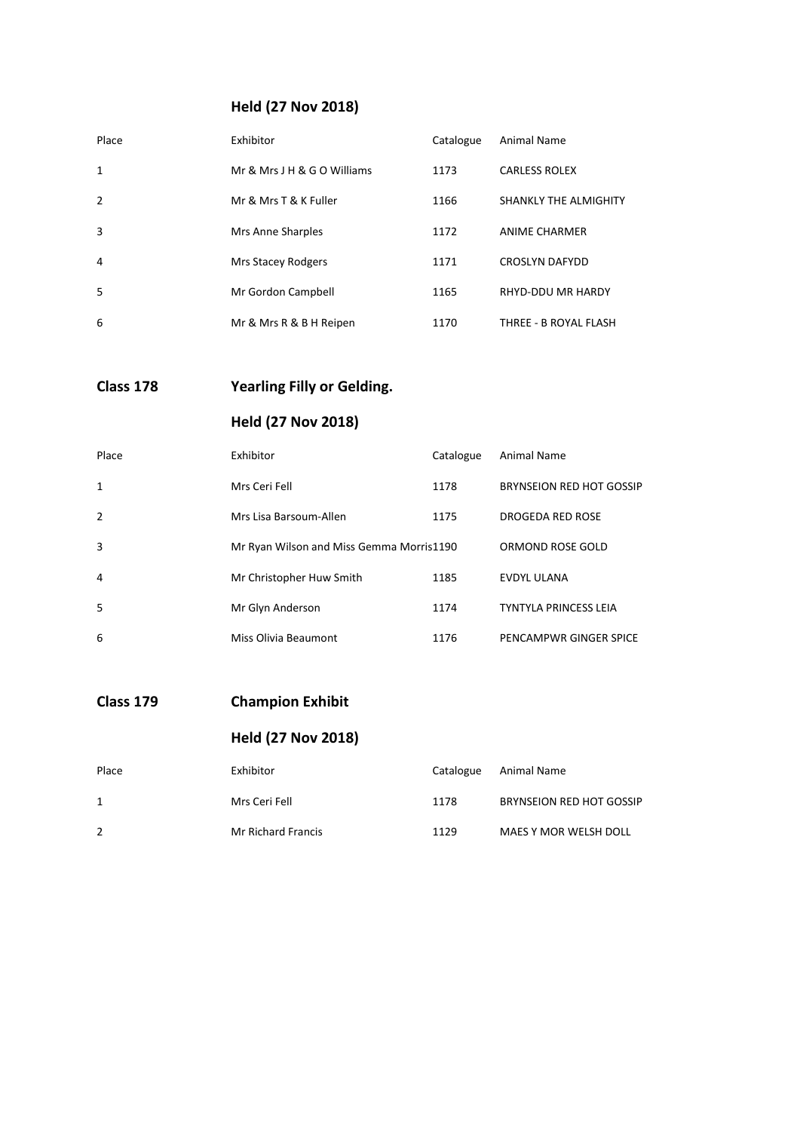### **Held (27 Nov 2018)**

| Place          | Exhibitor                   | Catalogue | Animal Name           |
|----------------|-----------------------------|-----------|-----------------------|
| 1              | Mr & Mrs J H & G O Williams | 1173      | <b>CARLESS ROLEX</b>  |
| $\overline{2}$ | Mr & Mrs T & K Fuller       | 1166      | SHANKLY THE ALMIGHITY |
| 3              | Mrs Anne Sharples           | 1172      | <b>ANIME CHARMER</b>  |
| 4              | Mrs Stacey Rodgers          | 1171      | <b>CROSLYN DAFYDD</b> |
| 5              | Mr Gordon Campbell          | 1165      | RHYD-DDU MR HARDY     |
| 6              | Mr & Mrs R & B H Reipen     | 1170      | THREE - B ROYAL FLASH |

**Class 178 Yearling Filly or Gelding.**

## **Held (27 Nov 2018)**

| Place          | Exhibitor                                | Catalogue | Animal Name                  |
|----------------|------------------------------------------|-----------|------------------------------|
| 1              | Mrs Ceri Fell                            | 1178      | BRYNSEION RED HOT GOSSIP     |
| $\overline{2}$ | Mrs Lisa Barsoum-Allen                   | 1175      | DROGEDA RED ROSE             |
| 3              | Mr Ryan Wilson and Miss Gemma Morris1190 |           | ORMOND ROSE GOLD             |
| 4              | Mr Christopher Huw Smith                 | 1185      | EVDYL ULANA                  |
| -5             | Mr Glyn Anderson                         | 1174      | <b>TYNTYLA PRINCESS LEIA</b> |
| 6              | Miss Olivia Beaumont                     | 1176      | PENCAMPWR GINGER SPICE       |

**Class 179 Champion Exhibit**

| Place        | Exhibitor          | Catalogue | Animal Name                     |
|--------------|--------------------|-----------|---------------------------------|
| $\mathbf{1}$ | Mrs Ceri Fell      | 1178      | <b>BRYNSEION RED HOT GOSSIP</b> |
| 2            | Mr Richard Francis | 1129      | MAES Y MOR WELSH DOLL           |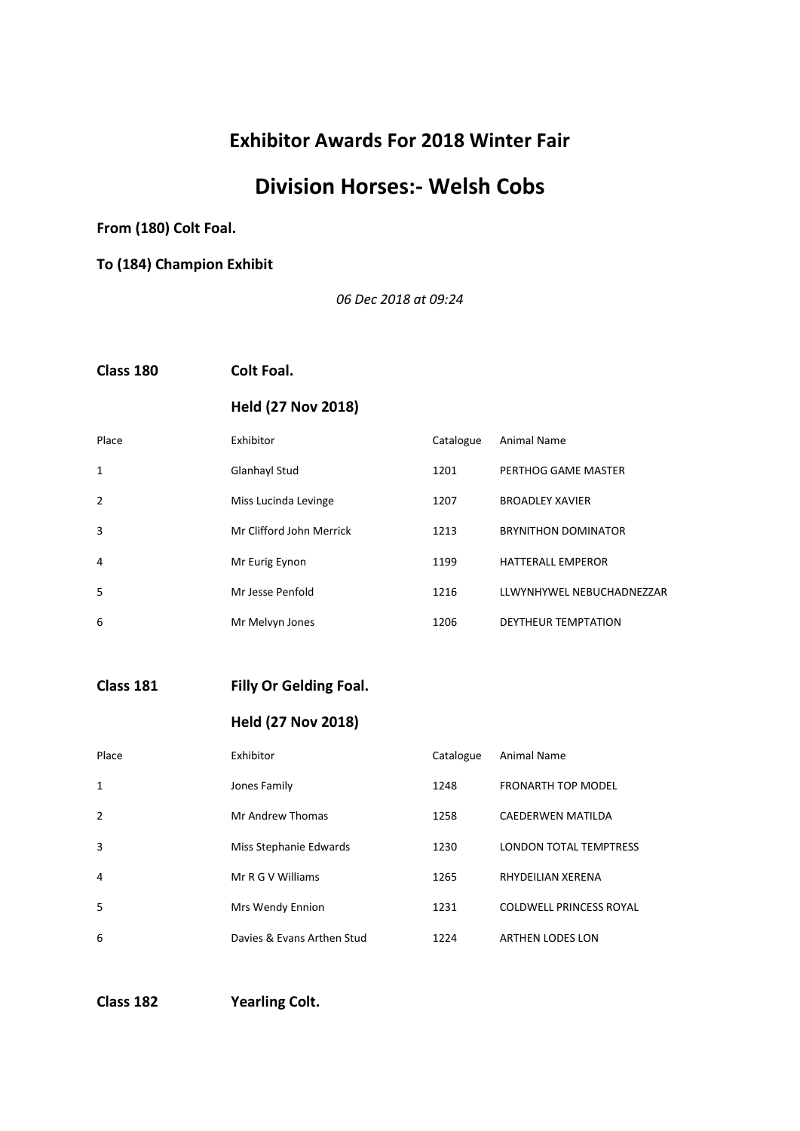# **Division Horses:- Welsh Cobs**

**From (180) Colt Foal.**

**To (184) Champion Exhibit**

*06 Dec 2018 at 09:24*

**Class 180 Colt Foal.**

### **Held (27 Nov 2018)**

| Place          | Exhibitor                | Catalogue | Animal Name                |
|----------------|--------------------------|-----------|----------------------------|
| 1              | Glanhayl Stud            | 1201      | PERTHOG GAME MASTER        |
| $\overline{2}$ | Miss Lucinda Levinge     | 1207      | <b>BROADLEY XAVIER</b>     |
| 3              | Mr Clifford John Merrick | 1213      | <b>BRYNITHON DOMINATOR</b> |
| 4              | Mr Eurig Eynon           | 1199      | <b>HATTERALL EMPEROR</b>   |
| 5              | Mr Jesse Penfold         | 1216      | LLWYNHYWEL NEBUCHADNEZZAR  |
| 6              | Mr Melvyn Jones          | 1206      | DEYTHEUR TEMPTATION        |

**Class 181 Filly Or Gelding Foal.**

#### **Held (27 Nov 2018)**

| Place        | Exhibitor                  | Catalogue | Animal Name                    |
|--------------|----------------------------|-----------|--------------------------------|
| $\mathbf{1}$ | Jones Family               | 1248      | <b>FRONARTH TOP MODEL</b>      |
| 2            | Mr Andrew Thomas           | 1258      | <b>CAEDERWEN MATILDA</b>       |
| 3            | Miss Stephanie Edwards     | 1230      | LONDON TOTAL TEMPTRESS         |
| 4            | Mr R G V Williams          | 1265      | RHYDEILIAN XERENA              |
| 5            | Mrs Wendy Ennion           | 1231      | <b>COLDWELL PRINCESS ROYAL</b> |
| 6            | Davies & Evans Arthen Stud | 1224      | <b>ARTHEN LODES LON</b>        |

**Class 182 Yearling Colt.**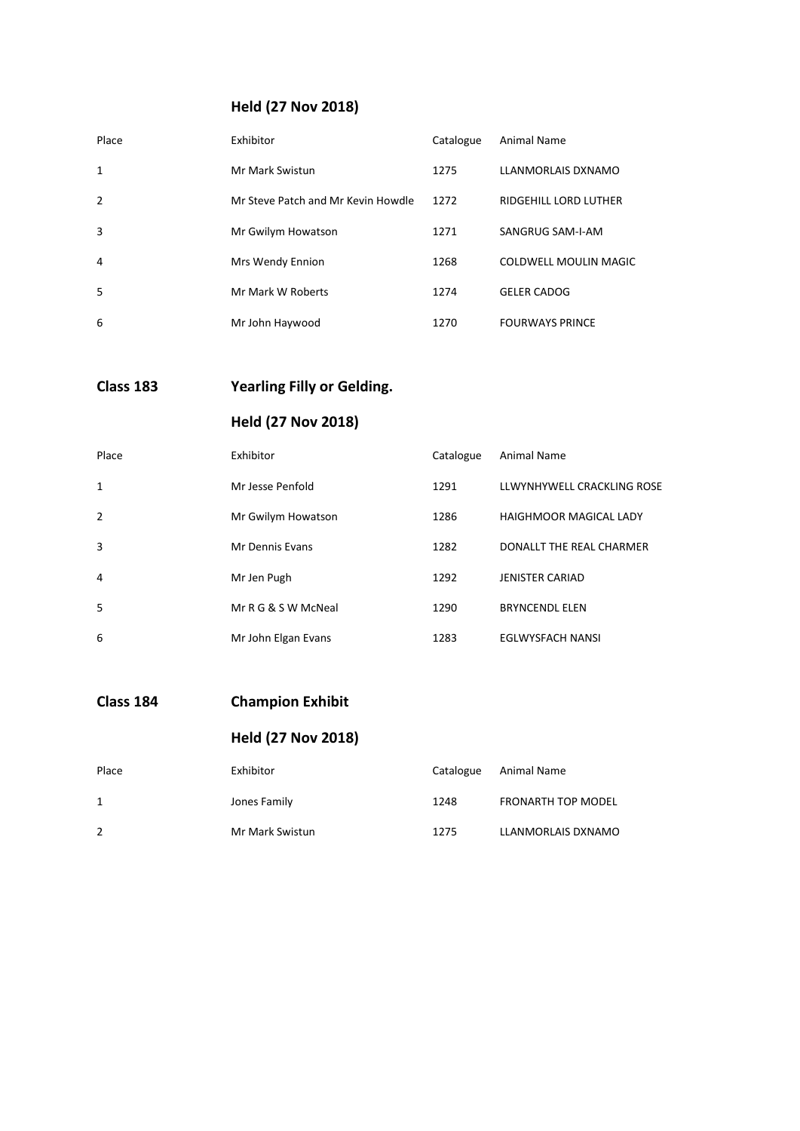### **Held (27 Nov 2018)**

| Place          | Exhibitor                          | Catalogue | Animal Name            |
|----------------|------------------------------------|-----------|------------------------|
| $\mathbf{1}$   | Mr Mark Swistun                    | 1275      | LLANMORLAIS DXNAMO     |
| $\overline{2}$ | Mr Steve Patch and Mr Kevin Howdle | 1272      | RIDGEHILL LORD LUTHER  |
| 3              | Mr Gwilym Howatson                 | 1271      | SANGRUG SAM-I-AM       |
| 4              | Mrs Wendy Ennion                   | 1268      | COLDWELL MOULIN MAGIC  |
| .5             | Mr Mark W Roberts                  | 1274      | <b>GELER CADOG</b>     |
| 6              | Mr John Haywood                    | 1270      | <b>FOURWAYS PRINCE</b> |

**Class 183 Yearling Filly or Gelding.**

## **Held (27 Nov 2018)**

| Place          | Exhibitor           | Catalogue | Animal Name                   |
|----------------|---------------------|-----------|-------------------------------|
| 1              | Mr Jesse Penfold    | 1291      | LLWYNHYWELL CRACKLING ROSE    |
| $\overline{2}$ | Mr Gwilym Howatson  | 1286      | <b>HAIGHMOOR MAGICAL LADY</b> |
| 3              | Mr Dennis Evans     | 1282      | DONALLT THE REAL CHARMER      |
| 4              | Mr Jen Pugh         | 1292      | <b>JENISTER CARIAD</b>        |
| 5              | Mr R G & S W McNeal | 1290      | <b>BRYNCENDL ELEN</b>         |
| 6              | Mr John Elgan Evans | 1283      | EGLWYSFACH NANSI              |

## **Class 184 Champion Exhibit**

| Place | Exhibitor       | Catalogue | Animal Name               |
|-------|-----------------|-----------|---------------------------|
| 1     | Jones Family    | 1248      | <b>FRONARTH TOP MODEL</b> |
| 2     | Mr Mark Swistun | 1275      | LLANMORLAIS DXNAMO        |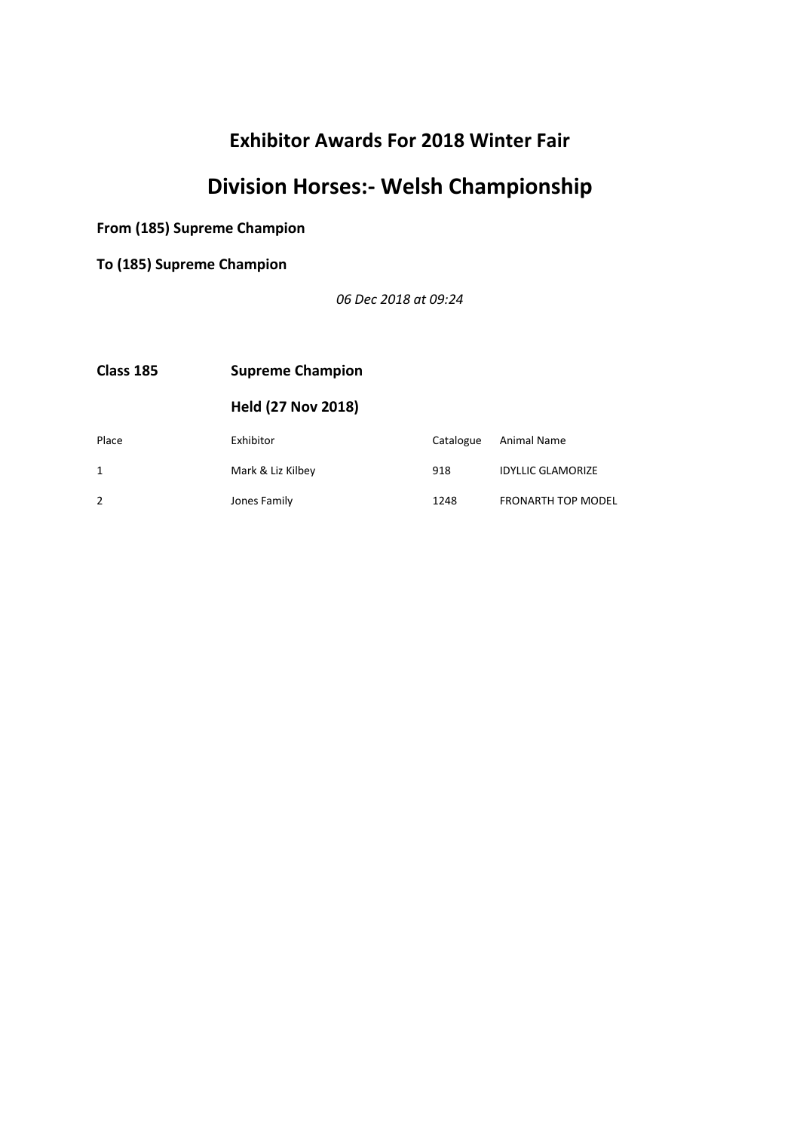# **Division Horses:- Welsh Championship**

**From (185) Supreme Champion**

**To (185) Supreme Champion**

*06 Dec 2018 at 09:24*

| Class 185 | <b>Supreme Champion</b>   |           |                           |
|-----------|---------------------------|-----------|---------------------------|
|           | <b>Held (27 Nov 2018)</b> |           |                           |
| Place     | Exhibitor                 | Catalogue | Animal Name               |
|           | Mark & Liz Kilbey         | 918       | <b>IDYLLIC GLAMORIZE</b>  |
|           | Jones Family              | 1248      | <b>FRONARTH TOP MODEL</b> |